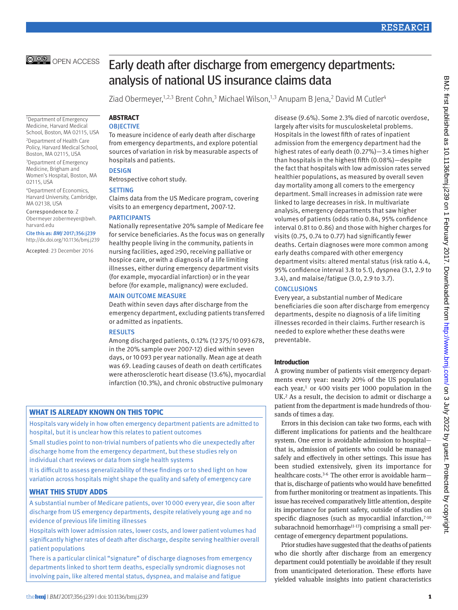

1Department of Emergency Medicine, Harvard Medical School, Boston, MA 02115, USA

2Department of Health Care Policy, Harvard Medical School, Boston, MA 02115, USA 3Department of Emergency Medicine, Brigham and Women's Hospital, Boston, MA 02115, USA

4Department of Economics, Harvard University, Cambridge, MA 02138, USA

Correspondence to: Z Obermeyer zobermeyer@bwh. harvard.edu

# Cite this as: *BMJ* 2017;356:j239

http://dx.doi.org/10.1136/bmj.j239

Accepted: 23 December 2016

# Early death after discharge from emergency departments: analysis of national US insurance claims data

Ziad Obermeyer,<sup>1,2,3</sup> Brent Cohn,<sup>3</sup> Michael Wilson,<sup>1,3</sup> Anupam B Jena,<sup>2</sup> David M Cutler<sup>4</sup>

#### **ABSTRACT OBJECTIVE**

To measure incidence of early death after discharge from emergency departments, and explore potential sources of variation in risk by measurable aspects of hospitals and patients.

# **DESIGN**

Retrospective cohort study.

# **SETTING**

Claims data from the US Medicare program, covering visits to an emergency department, 2007-12.

## **PARTICIPANTS**

Nationally representative 20% sample of Medicare fee for service beneficiaries. As the focus was on generally healthy people living in the community, patients in nursing facilities, aged ≥90, receiving palliative or hospice care, or with a diagnosis of a life limiting illnesses, either during emergency department visits (for example, myocardial infarction) or in the year before (for example, malignancy) were excluded.

## **MAIN OUTCOME MEASURE**

Death within seven days after discharge from the emergency department, excluding patients transferred or admitted as inpatients.

# **RESULTS**

Among discharged patients, 0.12% (12375/10093678, in the 20% sample over 2007-12) died within seven days, or 10093 per year nationally. Mean age at death was 69. Leading causes of death on death certificates were atherosclerotic heart disease (13.6%), myocardial infarction (10.3%), and chronic obstructive pulmonary

# **What is already known on this topic**

Hospitals vary widely in how often emergency department patients are admitted to hospital, but it is unclear how this relates to patient outcomes Small studies point to non-trivial numbers of patients who die unexpectedly after discharge home from the emergency department, but these studies rely on individual chart reviews or data from single health systems

It is difficult to assess generalizability of these findings or to shed light on how variation across hospitals might shape the quality and safety of emergency care

# **What this study adds**

A substantial number of Medicare patients, over 10000 every year, die soon after discharge from US emergency departments, despite relatively young age and no evidence of previous life limiting illnesses

Hospitals with lower admission rates, lower costs, and lower patient volumes had significantly higher rates of death after discharge, despite serving healthier overall patient populations

There is a particular clinical "signature" of discharge diagnoses from emergency departments linked to short term deaths, especially syndromic diagnoses not involving pain, like altered mental status, dyspnea, and malaise and fatigue

disease (9.6%). Some 2.3% died of narcotic overdose, largely after visits for musculoskeletal problems. Hospitals in the lowest fifth of rates of inpatient admission from the emergency department had the highest rates of early death (0.27%)—3.4 times higher than hospitals in the highest fifth (0.08%)—despite the fact that hospitals with low admission rates served healthier populations, as measured by overall seven day mortality among all comers to the emergency department. Small increases in admission rate were linked to large decreases in risk. In multivariate analysis, emergency departments that saw higher volumes of patients (odds ratio 0.84, 95% confidence interval 0.81 to 0.86) and those with higher charges for visits (0.75, 0.74 to 0.77) had significantly fewer deaths. Certain diagnoses were more common among early deaths compared with other emergency department visits: altered mental status (risk ratio 4.4, 95% confidence interval 3.8 to 5.1), dyspnea (3.1, 2.9 to 3.4), and malaise/fatigue (3.0, 2.9 to 3.7).

# **CONCLUSIONS**

Every year, a substantial number of Medicare beneficiaries die soon after discharge from emergency departments, despite no diagnosis of a life limiting illnesses recorded in their claims. Further research is needed to explore whether these deaths were preventable.

# **Introduction**

A growing number of patients visit emergency departments every year: nearly 20% of the US population each year, $1$  or 400 visits per 1000 population in the UK.<sup>2</sup> As a result, the decision to admit or discharge a patient from the department is made hundreds of thousands of times a day.

Errors in this decision can take two forms, each with different implications for patients and the healthcare system. One error is avoidable admission to hospital that is, admission of patients who could be managed safely and effectively in other settings. This issue has been studied extensively, given its importance for healthcare costs.<sup>3-6</sup> The other error is avoidable harmthat is, discharge of patients who would have benefitted from further monitoring or treatment as inpatients. This issue has received comparatively little attention, despite its importance for patient safety, outside of studies on specific diagnoses (such as myocardial infarction, $7-10$ subarachnoid hemorrhage<sup>11-13</sup>) comprising a small percentage of emergency department populations.

Prior studies have suggested that the deaths of patients who die shortly after discharge from an emergency department could potentially be avoidable if they result from unanticipated deterioration. These efforts have yielded valuable insights into patient characteristics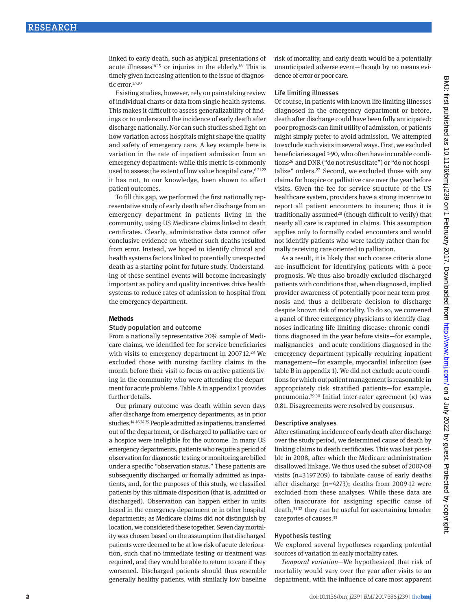linked to early death, such as atypical presentations of acute illnesses $1415$  or injuries in the elderly.<sup>16</sup> This is timely given increasing attention to the issue of diagnostic error.17-20

Existing studies, however, rely on painstaking review of individual charts or data from single health systems. This makes it difficult to assess generalizability of findings or to understand the incidence of early death after discharge nationally. Nor can such studies shed light on how variation across hospitals might shape the quality and safety of emergency care. A key example here is variation in the rate of inpatient admission from an emergency department: while this metric is commonly used to assess the extent of low value hospital care,  $62122$ it has not, to our knowledge, been shown to affect patient outcomes.

To fill this gap, we performed the first nationally representative study of early death after discharge from an emergency department in patients living in the community, using US Medicare claims linked to death certificates. Clearly, administrative data cannot offer conclusive evidence on whether such deaths resulted from error. Instead, we hoped to identify clinical and health systems factors linked to potentially unexpected death as a starting point for future study. Understanding of these sentinel events will become increasingly important as policy and quality incentives drive health systems to reduce rates of admission to hospital from the emergency department.

# **Methods**

#### Study population and outcome

From a nationally representative 20% sample of Medicare claims, we identified fee for service beneficiaries with visits to emergency department in 2007-12.<sup>23</sup> We excluded those with nursing facility claims in the month before their visit to focus on active patients living in the community who were attending the department for acute problems. Table A in appendix 1 provides further details.

Our primary outcome was death within seven days after discharge from emergency departments, as in prior studies.14-16 <sup>24</sup> 25 People admitted as inpatients, transferred out of the department, or discharged to palliative care or a hospice were ineligible for the outcome. In many US emergency departments, patients who require a period of observation for diagnostic testing or monitoring are billed under a specific "observation status." These patients are subsequently discharged or formally admitted as inpatients, and, for the purposes of this study, we classified patients by this ultimate disposition (that is, admitted or discharged). Observation can happen either in units based in the emergency department or in other hospital departments; as Medicare claims did not distinguish by location, we considered these together. Seven day mortality was chosen based on the assumption that discharged patients were deemed to be at low risk of acute deterioration, such that no immediate testing or treatment was required, and they would be able to return to care if they worsened. Discharged patients should thus resemble generally healthy patients, with similarly low baseline risk of mortality, and early death would be a potentially unanticipated adverse event—though by no means evidence of error or poor care.

#### Life limiting illnesses

Of course, in patients with known life limiting illnesses diagnosed in the emergency department or before, death after discharge could have been fully anticipated: poor prognosis can limit utility of admission, or patients might simply prefer to avoid admission. We attempted to exclude such visits in several ways. First, we excluded beneficiaries aged ≥90, who often have incurable conditions<sup>26</sup> and DNR ("do not resuscitate") or "do not hospitalize" orders.<sup>27</sup> Second, we excluded those with any claims for hospice or palliative care over the year before visits. Given the fee for service structure of the US healthcare system, providers have a strong incentive to report all patient encounters to insurers; thus it is traditionally assumed<sup>28</sup> (though difficult to verify) that nearly all care is captured in claims. This assumption applies only to formally coded encounters and would not identify patients who were tacitly rather than formally receiving care oriented to palliation.

As a result, it is likely that such coarse criteria alone are insufficient for identifying patients with a poor prognosis. We thus also broadly excluded discharged patients with conditions that, when diagnosed, implied provider awareness of potentially poor near term prognosis and thus a deliberate decision to discharge despite known risk of mortality. To do so, we convened a panel of three emergency physicians to identify diagnoses indicating life limiting disease: chronic conditions diagnosed in the year before visits—for example, malignancies—and acute conditions diagnosed in the emergency department typically requiring inpatient management—for example, myocardial infarction (see table B in appendix 1). We did not exclude acute conditions for which outpatient management is reasonable in appropriately risk stratified patients—for example, pneumonia.29 30 Initial inter-rater agreement (κ) was 0.81. Disagreements were resolved by consensus.

# Descriptive analyses

After estimating incidence of early death after discharge over the study period, we determined cause of death by linking claims to death certificates. This was last possible in 2008, after which the Medicare administration disallowed linkage. We thus used the subset of 2007-08 visits (n=3 197 209) to tabulate cause of early deaths after discharge (n=4273); deaths from 2009-12 were excluded from these analyses. While these data are often inaccurate for assigning specific cause of death,<sup>31 32</sup> they can be useful for ascertaining broader categories of causes.33

# Hypothesis testing

We explored several hypotheses regarding potential sources of variation in early mortality rates.

*Temporal variation*—We hypothesized that risk of mortality would vary over the year after visits to an department, with the influence of care most apparent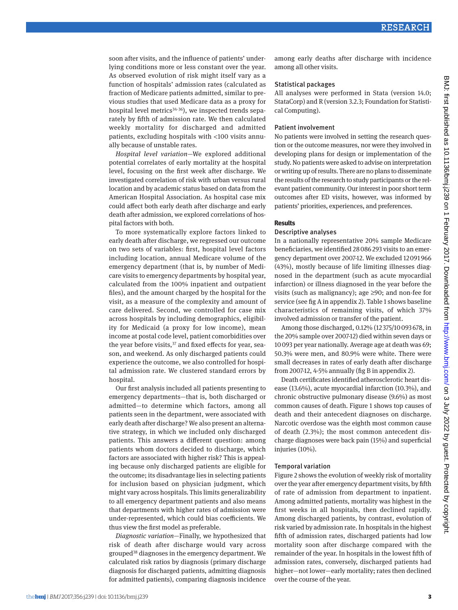soon after visits, and the influence of patients' underlying conditions more or less constant over the year. As observed evolution of risk might itself vary as a function of hospitals' admission rates (calculated as fraction of Medicare patients admitted, similar to previous studies that used Medicare data as a proxy for hospital level metrics<sup>34-36</sup>), we inspected trends separately by fifth of admission rate. We then calculated weekly mortality for discharged and admitted patients, excluding hospitals with <100 visits annually because of unstable rates.

*Hospital level variation*—We explored additional potential correlates of early mortality at the hospital level, focusing on the first week after discharge. We investigated correlation of risk with urban versus rural location and by academic status based on data from the American Hospital Association. As hospital case mix could affect both early death after discharge and early death after admission, we explored correlations of hospital factors with both.

To more systematically explore factors linked to early death after discharge, we regressed our outcome on two sets of variables: first, hospital level factors including location, annual Medicare volume of the emergency department (that is, by number of Medicare visits to emergency departments by hospital year, calculated from the 100% inpatient and outpatient files), and the amount charged by the hospital for the visit, as a measure of the complexity and amount of care delivered. Second, we controlled for case mix across hospitals by including demographics, eligibility for Medicaid (a proxy for low income), mean income at postal code level, patient comorbidities over the year before visits,<sup>37</sup> and fixed effects for year, season, and weekend. As only discharged patients could experience the outcome, we also controlled for hospital admission rate. We clustered standard errors by hospital.

Our first analysis included all patients presenting to emergency departments—that is, both discharged or admitted—to determine which factors, among all patients seen in the department, were associated with early death after discharge? We also present an alternative strategy, in which we included only discharged patients. This answers a different question: among patients whom doctors decided to discharge, which factors are associated with higher risk? This is appealing because only discharged patients are eligible for the outcome; its disadvantage lies in selecting patients for inclusion based on physician judgment, which might vary across hospitals. This limits generalizability to all emergency department patients and also means that departments with higher rates of admission were under-represented, which could bias coefficients. We thus view the first model as preferable.

*Diagnostic variation*—Finally, we hypothesized that risk of death after discharge would vary across grouped38 diagnoses in the emergency department. We calculated risk ratios by diagnosis (primary discharge diagnosis for discharged patients, admitting diagnosis for admitted patients), comparing diagnosis incidence among early deaths after discharge with incidence among all other visits.

#### Statistical packages

All analyses were performed in Stata (version 14.0; StataCorp) and R (version 3.2.3; Foundation for Statistical Computing).

#### Patient involvement

No patients were involved in setting the research question or the outcome measures, nor were they involved in developing plans for design or implementation of the study. No patients were asked to advise on interpretation or writing up of results. There are no plans to disseminate the results of the research to study participants or the relevant patient community. Our interest in poor short term outcomes after ED visits, however, was informed by patients' priorities, experiences, and preferences.

#### **Results**

### Descriptive analyses

In a nationally representative 20% sample Medicare beneficiaries, we identified 28086293 visits to an emergency department over 2007-12. We excluded 12091966 (43%), mostly because of life limiting illnesses diagnosed in the department (such as acute myocardial infarction) or illness diagnosed in the year before the visits (such as malignancy); age ≥90; and non-fee for service (see fig A in appendix 2). Table 1 shows baseline characteristics of remaining visits, of which 37% involved admission or transfer of the patient.

Among those discharged, 0.12% (12 375/10093678, in the 20% sample over 2007-12) died within seven days or 10093 per year nationally. Average age at death was 69; 50.3% were men, and 80.9% were white. There were small decreases in rates of early death after discharge from 2007-12, 4-5% annually (fig B in appendix 2).

Death certificates identified atherosclerotic heart disease (13.6%), acute myocardial infarction (10.3%), and chronic obstructive pulmonary disease (9.6%) as most common causes of death. Figure 1 shows top causes of death and their antecedent diagnoses on discharge. Narcotic overdose was the eighth most common cause of death (2.3%); the most common antecedent discharge diagnoses were back pain (15%) and superficial injuries (10%).

#### Temporal variation

Figure 2 shows the evolution of weekly risk of mortality over the year after emergency department visits, by fifth of rate of admission from department to inpatient. Among admitted patients, mortality was highest in the first weeks in all hospitals, then declined rapidly. Among discharged patients, by contrast, evolution of risk varied by admission rate. In hospitals in the highest fifth of admission rates, discharged patients had low mortality soon after discharge compared with the remainder of the year. In hospitals in the lowest fifth of admission rates, conversely, discharged patients had higher—not lower—early mortality; rates then declined over the course of the year.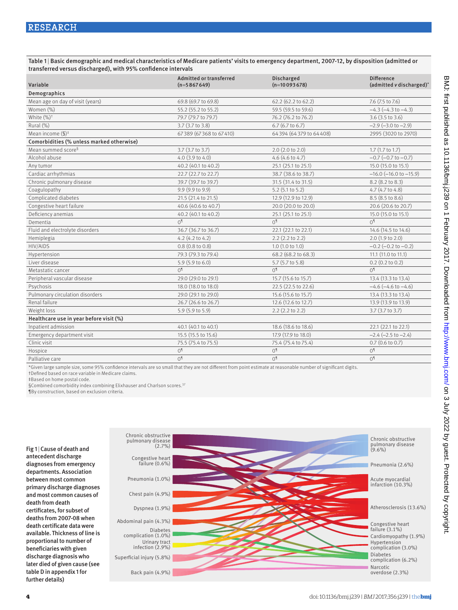Table 1 | Basic demographic and medical characteristics of Medicare patients' visits to emergency department, 2007-12, by disposition (admitted or transferred versus discharged), with 95% confidence intervals

| Variable                                  | Admitted or transferred<br>$(n=5867649)$ | <b>Discharged</b><br>$(n=10093678)$ | <b>Difference</b><br>(admitted v discharged)* |
|-------------------------------------------|------------------------------------------|-------------------------------------|-----------------------------------------------|
| Demographics                              |                                          |                                     |                                               |
| Mean age on day of visit (years)          | 69.8 (69.7 to 69.8)                      | 62.2 (62.2 to 62.2)                 | 7.6 (7.5 to 7.6)                              |
| Women (%)                                 | 55.2 (55.2 to 55.2)                      | 59.5 (59.5 to 59.6)                 | $-4.3$ ( $-4.3$ to $-4.3$ )                   |
| White (%) <sup>+</sup>                    | 79.7 (79.7 to 79.7)                      | 76.2 (76.2 to 76.2)                 | 3.6 (3.5 to 3.6)                              |
| Rural (%)                                 | 3.7 (3.7 to 3.8)                         | 6.7 (6.7 to 6.7)                    | $-2.9$ $(-3.0$ to $-2.9)$                     |
| Mean income (\$) <sup>#</sup>             | 67389 (67368 to 67410)                   | 64394 (64379 to 64408)              | 2995 (3020 to 2970)                           |
| Comorbidities (% unless marked otherwise) |                                          |                                     |                                               |
| Mean summed score <sup>§</sup>            | 3.7 (3.7 to 3.7)                         | $2.0$ (2.0 to 2.0)                  | 1.7 (1.7 to 1.7)                              |
| Alcohol abuse                             | 4.0 (3.9 to 4.0)                         | $4.6$ (4.6 to 4.7)                  | $-0.7$ ( $-0.7$ to $-0.7$ )                   |
| Any tumor                                 | 40.2 (40.1 to 40.2)                      | 25.1 (25.1 to 25.1)                 | 15.0 (15.0 to 15.1)                           |
| Cardiac arrhythmias                       | 22.7 (22.7 to 22.7)                      | 38.7 (38.6 to 38.7)                 | $-16.0$ ( $-16.0$ to $-15.9$ )                |
| Chronic pulmonary disease                 | 39.7 (39.7 to 39.7)                      | 31.5 (31.4 to 31.5)                 | 8.2 (8.2 to 8.3)                              |
| Coagulopathy                              | 9.9 (9.9 to 9.9)                         | $5.2$ (5.1 to 5.2)                  | 4.7 (4.7 to 4.8)                              |
| Complicated diabetes                      | 21.5 (21.4 to 21.5)                      | 12.9 (12.9 to 12.9)                 | 8.5 (8.5 to 8.6)                              |
| Congestive heart failure                  | 40.6 (40.6 to 40.7)                      | 20.0 (20.0 to 20.0)                 | 20.6 (20.6 to 20.7)                           |
| Deficiency anemias                        | 40.2 (40.1 to 40.2)                      | 25.1 (25.1 to 25.1)                 | 15.0 (15.0 to 15.1)                           |
| Dementia                                  | O <sup>1</sup>                           | $\bigcap$                           | $\bigcap$                                     |
| Fluid and electrolyte disorders           | 36.7 (36.7 to 36.7)                      | 22.1 (22.1 to 22.1)                 | 14.6 (14.5 to 14.6)                           |
| Hemiplegia                                | $4.2$ (4.2 to 4.2)                       | $2.2$ (2.2 to 2.2)                  | 2.0 (1.9 to 2.0)                              |
| <b>HIV/AIDS</b>                           | $0.8$ (0.8 to 0.8)                       | $1.0$ (1.0 to 1.0)                  | $-0.2$ ( $-0.2$ to $-0.2$ )                   |
| Hypertension                              | 79.3 (79.3 to 79.4)                      | 68.2 (68.2 to 68.3)                 | 11.1 (11.0 to 11.1)                           |
| Liver disease                             | 5.9 (5.9 to 6.0)                         | 5.7 (5.7 to 5.8)                    | $0.2$ (0.2 to 0.2)                            |
| Metastatic cancer                         | O <sup>1</sup>                           | $\bigcap$                           | O <sup>1</sup>                                |
| Peripheral vascular disease               | 29.0 (29.0 to 29.1)                      | 15.7 (15.6 to 15.7)                 | 13.4 (13.3 to 13.4)                           |
| Psychosis                                 | 18.0 (18.0 to 18.0)                      | 22.5 (22.5 to 22.6)                 | $-4.6$ ( $-4.6$ to $-4.6$ )                   |
| Pulmonary circulation disorders           | 29.0 (29.1 to 29.0)                      | 15.6 (15.6 to 15.7)                 | 13.4 (13.3 to 13.4)                           |
| Renal failure                             | 26.7 (26.6 to 26.7)                      | 12.6 (12.6 to 12.7)                 | 13.9 (13.9 to 13.9)                           |
| Weight loss                               | 5.9 (5.9 to 5.9)                         | 2.2 (2.2 to 2.2)                    | 3.7 (3.7 to 3.7)                              |
| Healthcare use in year before visit (%)   |                                          |                                     |                                               |
| Inpatient admission                       | 40.1 (40.1 to 40.1)                      | 18.6 (18.6 to 18.6)                 | 22.1 (22.1 to 22.1)                           |
| Emergency department visit                | 15.5 (15.5 to 15.6)                      | 17.9 (17.9 to 18.0)                 | $-2.4$ $(-2.5$ to $-2.4)$                     |
| Clinic visit                              | 75.5 (75.4 to 75.5)                      | 75.4 (75.4 to 75.4)                 | $0.7$ (0.6 to 0.7)                            |
| Hospice                                   | O <sup>1</sup>                           | O                                   | 0 <sup>1</sup>                                |
| Palliative care                           | 0 <sup>1</sup>                           | 0 <sup>1</sup>                      | 0 <sup>1</sup>                                |

\*Given large sample size, some 95% confidence intervals are so small that they are not different from point estimate at reasonable number of significant digits. †Defined based on race variable in Medicare claims.

‡Based on home postal code.

§Combined comorbidity index combining Elixhauser and Charlson scores.<sup>37</sup>

¶By construction, based on exclusion criteria.

Fig 1 | Cause of death and antecedent discharge diagnoses from emergency departments. Association between most common primary discharge diagnoses and most common causes of death from death certificates, for subset of deaths from 2007-08 when death certificate data were available. Thickness of line is proportional to number of beneficiaries with given discharge diagnosis who later died of given cause (see table D in appendix 1 for further details)



# BMJ: first published as 10.1136/bmj.j239 on 1 February 2017. Downloaded from http://www.bmj.com/ on 3 July 2022 by guest. Protected by copyright BMJ: first published as 10.1136/bmj.j239 on 1 February 2017. Downloaded from <http://www.bmj.com/> on 3 July 2022 by guest. Protected by copyright.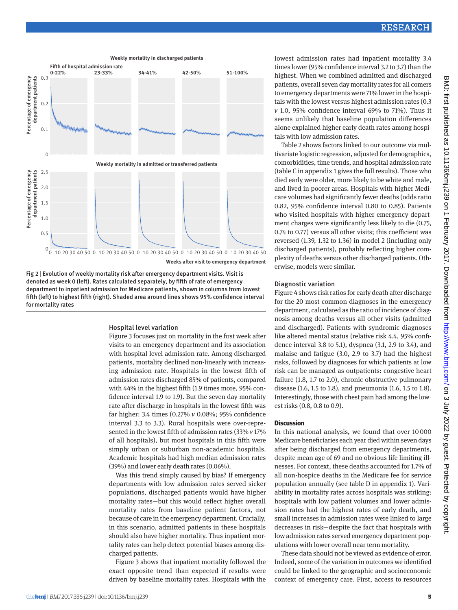



# Hospital level variation

Figure 3 focuses just on mortality in the first week after visits to an emergency department and its association with hospital level admission rate. Among discharged patients, mortality declined non-linearly with increasing admission rate. Hospitals in the lowest fifth of admission rates discharged 85% of patients, compared with 44% in the highest fifth (1.9 times more, 95% confidence interval 1.9 to 1.9). But the seven day mortality rate after discharge in hospitals in the lowest fifth was far higher: 3.4 times (0.27% *v* 0.08%; 95% confidence interval 3.3 to 3.3). Rural hospitals were over-represented in the lowest fifth of admission rates (33% *v* 17% of all hospitals), but most hospitals in this fifth were simply urban or suburban non-academic hospitals. Academic hospitals had high median admission rates (39%) and lower early death rates (0.06%).

Was this trend simply caused by bias? If emergency departments with low admission rates served sicker populations, discharged patients would have higher mortality rates—but this would reflect higher overall mortality rates from baseline patient factors, not because of care in the emergency department. Crucially, in this scenario, admitted patients in these hospitals should also have higher mortality. Thus inpatient mortality rates can help detect potential biases among discharged patients.

Figure 3 shows that inpatient mortality followed the exact opposite trend than expected if results were driven by baseline mortality rates. Hospitals with the

lowest admission rates had inpatient mortality 3.4 times lower (95% confidence interval 3.2 to 3.7) than the highest. When we combined admitted and discharged patients, overall seven day mortality rates for all comers to emergency departments were 71% lower in the hospitals with the lowest versus highest admission rates (0.3 *v* 1.0, 95% confidence interval 69% to 71%). Thus it seems unlikely that baseline population differences alone explained higher early death rates among hospitals with low admission rates.

Table 2 shows factors linked to our outcome via multivariate logistic regression, adjusted for demographics, comorbidities, time trends, and hospital admission rate (table C in appendix 1 gives the full results). Those who died early were older, more likely to be white and male, and lived in poorer areas. Hospitals with higher Medicare volumes had significantly fewer deaths (odds ratio 0.82, 95% confidence interval 0.80 to 0.85). Patients who visited hospitals with higher emergency department charges were significantly less likely to die (0.75, 0.74 to 0.77) versus all other visits; this coefficient was reversed (1.39, 1.32 to 1.36) in model 2 (including only discharged patients), probably reflecting higher complexity of deaths versus other discharged patients. Otherwise, models were similar.

#### Diagnostic variation

Figure 4 shows risk ratios for early death after discharge for the 20 most common diagnoses in the emergency department, calculated as the ratio of incidence of diagnosis among deaths versus all other visits (admitted and discharged). Patients with syndromic diagnoses like altered mental status (relative risk 4.4, 95% confidence interval 3.8 to 5.1), dyspnea (3.1, 2.9 to 3.4), and malaise and fatigue (3.0, 2.9 to 3.7) had the highest risks, followed by diagnoses for which patients at low risk can be managed as outpatients: congestive heart failure (1.8, 1.7 to 2.0), chronic obstructive pulmonary disease (1.6, 1.5 to 1.8), and pneumonia (1.6, 1.5 to 1.8). Interestingly, those with chest pain had among the lowest risks (0.8, 0.8 to 0.9).

#### **Discussion**

In this national analysis, we found that over 10000 Medicare beneficiaries each year died within seven days after being discharged from emergency departments, despite mean age of 69 and no obvious life limiting illnesses. For context, these deaths accounted for 1.7% of all non-hospice deaths in the Medicare fee for service population annually (see table D in appendix 1). Variability in mortality rates across hospitals was striking: hospitals with low patient volumes and lower admission rates had the highest rates of early death, and small increases in admission rates were linked to large decreases in risk—despite the fact that hospitals with low admission rates served emergency department populations with lower overall near term mortality.

These data should not be viewed as evidence of error. Indeed, some of the variation in outcomes we identified could be linked to the geographic and socioeconomic context of emergency care. First, access to resources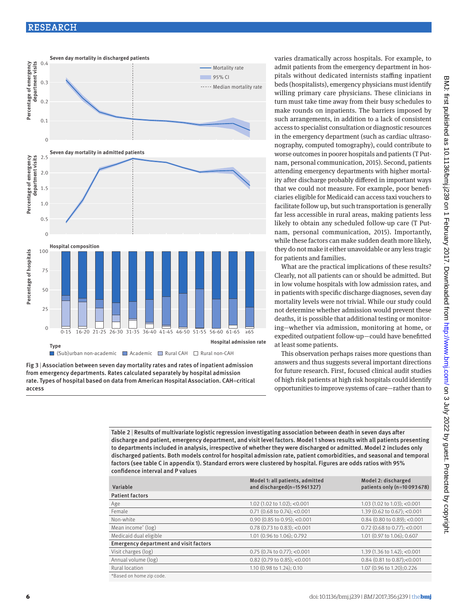# RESEARCH



Fig 3 | Association between seven day mortality rates and rates of inpatient admission from emergency departments. Rates calculated separately by hospital admission rate. Types of hospital based on data from American Hospital Association. CAH=critical access

varies dramatically across hospitals. For example, to admit patients from the emergency department in hospitals without dedicated internists staffing inpatient beds (hospitalists), emergency physicians must identify willing primary care physicians. These clinicians in turn must take time away from their busy schedules to make rounds on inpatients. The barriers imposed by such arrangements, in addition to a lack of consistent access to specialist consultation or diagnostic resources in the emergency department (such as cardiac ultrasonography, computed tomography), could contribute to worse outcomes in poorer hospitals and patients (T Putnam, personal communication, 2015). Second, patients attending emergency departments with higher mortality after discharge probably differed in important ways that we could not measure. For example, poor beneficiaries eligible for Medicaid can access taxi vouchers to facilitate follow up, but such transportation is generally far less accessible in rural areas, making patients less likely to obtain any scheduled follow-up care (T Putnam, personal communication, 2015). Importantly, while these factors can make sudden death more likely, they do not make it either unavoidable or any less tragic for patients and families.

What are the practical implications of these results? Clearly, not all patients can or should be admitted. But in low volume hospitals with low admission rates, and in patients with specific discharge diagnoses, seven day mortality levels were not trivial. While our study could not determine whether admission would prevent these deaths, it is possible that additional testing or monitoring—whether via admission, monitoring at home, or expedited outpatient follow-up—could have benefitted at least some patients.

This observation perhaps raises more questions than answers and thus suggests several important directions for future research. First, focused clinical audit studies of high risk patients at high risk hospitals could identify opportunities to improve systems of care—rather than to

Table 2 | Results of multivariate logistic regression investigating association between death in seven days after discharge and patient, emergency department, and visit level factors. Model 1 shows results with all patients presenting to departments included in analysis, irrespective of whether they were discharged or admitted. Model 2 includes only discharged patients. Both models control for hospital admission rate, patient comorbidities, and seasonal and temporal factors (see table C in appendix 1). Standard errors were clustered by hospital. Figures are odds ratios with 95% confidence interval and P values

|                                               | Model 1: all patients, admitted | Model 2: discharged            |
|-----------------------------------------------|---------------------------------|--------------------------------|
| Variable                                      | and discharged(n=15961327)      | patients only (n=10093678)     |
| <b>Patient factors</b>                        |                                 |                                |
| Age                                           | 1.02 (1.02 to 1.02); <0.001     | 1.03 (1.02 to 1.03); < 0.001   |
| Female                                        | $0.71$ (0.68 to 0.74); < 0.001  | 1.39 (0.62 to 0.67); <0.001    |
| Non-white                                     | $0.90$ (0.85 to 0.95); <0.001   | $0.84$ (0.80 to 0.89); < 0.001 |
| Mean income <sup>*</sup> (log)                | $0.78$ (0.73 to 0.83); < 0.001  | $0.72$ (0.68 to 0.77); <0.001  |
| Medicaid dual eligible                        | 1.01 (0.96 to 1.06); 0.792      | 1.01 (0.97 to 1.06); 0.607     |
| <b>Emergency department and visit factors</b> |                                 |                                |
| Visit charges (log)                           | $0.75$ (0.74 to 0.77); <0.001   | 1.39 (1.36 to 1.42); < 0.001   |
| Annual volume (log)                           | $0.82$ (0.79 to 0.85); < 0.001  | 0.84 (0.81 to 0.87);<0.001     |
| Rural location                                | 1.10 (0.98 to 1.24); 0.10       | 1.07 (0.96 to 1.20);0.226      |
|                                               |                                 |                                |

\*Based on home zip code.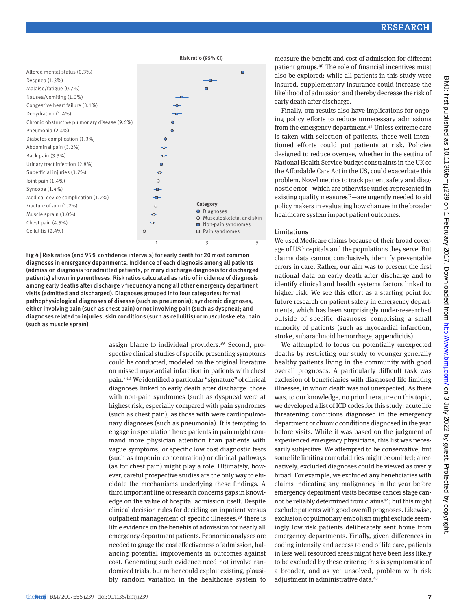

Fig 4 | Risk ratios (and 95% confidence intervals) for early death for 20 most common diagnoses in emergency departments. Incidence of each diagnosis among all patients (admission diagnosis for admitted patients, primary discharge diagnosis for discharged patients) shown in parentheses. Risk ratios calculated as ratio of incidence of diagnosis among early deaths after discharge *v* frequency among all other emergency department visits (admitted and discharged). Diagnoses grouped into four categories: formal pathophysiological diagnoses of disease (such as pneumonia); syndromic diagnoses, either involving pain (such as chest pain) or not involving pain (such as dyspnea); and diagnoses related to injuries, skin conditions (such as cellulitis) or musculoskeletal pain (such as muscle sprain)

> assign blame to individual providers.<sup>39</sup> Second, prospective clinical studies of specific presenting symptoms could be conducted, modeled on the original literature on missed myocardial infarction in patients with chest pain.7-10 We identified a particular "signature" of clinical diagnoses linked to early death after discharge: those with non-pain syndromes (such as dyspnea) were at highest risk, especially compared with pain syndromes (such as chest pain), as those with were cardiopulmonary diagnoses (such as pneumonia). It is tempting to engage in speculation here: patients in pain might command more physician attention than patients with vague symptoms, or specific low cost diagnostic tests (such as troponin concentration) or clinical pathways (as for chest pain) might play a role. Ultimately, however, careful prospective studies are the only way to elucidate the mechanisms underlying these findings. A third important line of research concerns gaps in knowledge on the value of hospital admission itself. Despite clinical decision rules for deciding on inpatient versus outpatient management of specific illnesses,<sup>29</sup> there is little evidence on the benefits of admission for nearly all emergency department patients. Economic analyses are needed to gauge the cost effectiveness of admission, balancing potential improvements in outcomes against cost. Generating such evidence need not involve randomized trials, but rather could exploit existing, plausibly random variation in the healthcare system to

measure the benefit and cost of admission for different patient groups.40 The role of financial incentives must also be explored: while all patients in this study were insured, supplementary insurance could increase the likelihood of admission and thereby decrease the risk of early death after discharge.

Finally, our results also have implications for ongoing policy efforts to reduce unnecessary admissions from the emergency department.<sup>41</sup> Unless extreme care is taken with selection of patients, these well intentioned efforts could put patients at risk. Policies designed to reduce overuse, whether in the setting of National Health Service budget constraints in the UK or the Affordable Care Act in the US, could exacerbate this problem. Novel metrics to track patient safety and diagnostic error—which are otherwise under-represented in existing quality measures $17$ —are urgently needed to aid policy makers in evaluating how changes in the broader healthcare system impact patient outcomes.

# Limitations

We used Medicare claims because of their broad coverage of US hospitals and the populations they serve. But claims data cannot conclusively identify preventable errors in care. Rather, our aim was to present the first national data on early death after discharge and to identify clinical and health systems factors linked to higher risk. We see this effort as a starting point for future research on patient safety in emergency departments, which has been surprisingly under-researched outside of specific diagnoses comprising a small minority of patients (such as myocardial infarction, stroke, subarachnoid hemorrhage, appendicitis).

We attempted to focus on potentially unexpected deaths by restricting our study to younger generally healthy patients living in the community with good overall prognoses. A particularly difficult task was exclusion of beneficiaries with diagnosed life limiting illnesses, in whom death was not unexpected. As there was, to our knowledge, no prior literature on this topic, we developed a list of ICD codes for this study: acute life threatening conditions diagnosed in the emergency department or chronic conditions diagnosed in the year before visits. While it was based on the judgment of experienced emergency physicians, this list was necessarily subjective. We attempted to be conservative, but some life limiting comorbidities might be omitted; alternatively, excluded diagnoses could be viewed as overly broad. For example, we excluded any beneficiaries with claims indicating any malignancy in the year before emergency department visits because cancer stage cannot be reliably determined from claims<sup>42</sup>; but this might exclude patients with good overall prognoses. Likewise, exclusion of pulmonary embolism might exclude seemingly low risk patients deliberately sent home from emergency departments. Finally, given differences in coding intensity and access to end of life care, patients in less well resourced areas might have been less likely to be excluded by these criteria; this is symptomatic of a broader, and as yet unsolved, problem with risk adjustment in administrative data.43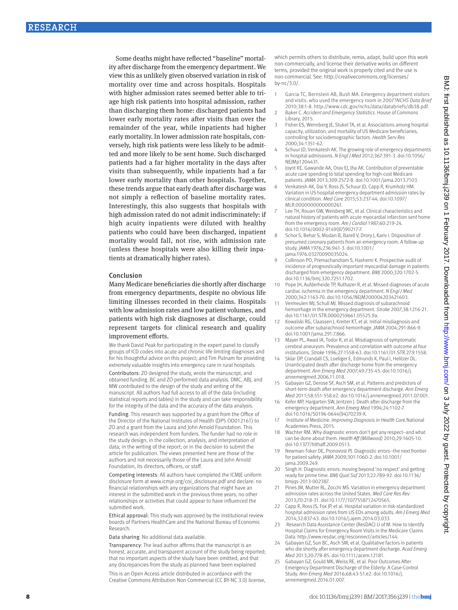Some deaths might have reflected "baseline" mortality after discharge from the emergency department. We view this as unlikely given observed variation in risk of mortality over time and across hospitals. Hospitals with higher admission rates seemed better able to triage high risk patients into hospital admission, rather than discharging them home: discharged patients had lower early mortality rates after visits than over the remainder of the year, while inpatients had higher early mortality. In lower admission rate hospitals, conversely, high risk patients were less likely to be admitted and more likely to be sent home. Such discharged patients had a far higher mortality in the days after visits than subsequently, while inpatients had a far lower early mortality than other hospitals. Together, these trends argue that early death after discharge was not simply a reflection of baseline mortality rates. Interestingly, this also suggests that hospitals with high admission rated do not admit indiscriminately: if high acuity inpatients were diluted with healthy patients who could have been discharged, inpatient mortality would fall, not rise, with admission rate (unless these hospitals were also killing their inpatients at dramatically higher rates).

#### Conclusion

Many Medicare beneficiaries die shortly after discharge from emergency departments, despite no obvious life limiting illnesses recorded in their claims. Hospitals with low admission rates and low patient volumes, and patients with high risk diagnoses at discharge, could represent targets for clinical research and quality improvement efforts.

We thank David Peak for participating in the expert panel to classify groups of ICD codes into acute and chronic life limiting diagnoses and for his thoughtful advice on this project; and Tim Putnam for providing extremely valuable insights into emergency care in rural hospitals.

Contributors: ZO designed the study, wrote the manuscript, and obtained funding. BC and ZO performed data analysis. DMC, ABJ, and MW contributed to the design of the study and writing of the manuscript. All authors had full access to all of the data (including statistical reports and tables) in the study and can take responsibility for the integrity of the data and the accuracy of the data analysis.

Funding: This research was supported by a grant from the Office of the Director of the National Institutes of Health (DP5 OD012161) to ZO and a grant from the Laura and John Arnold Foundation. This research was independent from funders. The funder had no role in the study design; in the collection, analysis, and interpretation of data; in the writing of the report; or in the decision to submit the article for publication. The views presented here are those of the authors and not necessarily those of the Laura and John Arnold Foundation, its directors, officers, or staff.

Competing interests: All authors have completed the ICMJE uniform disclosure form at www.icmje.org/coi\_disclosure.pdf and declare: no financial relationships with any organizations that might have an interest in the submitted work in the previous three years; no other relationships or activities that could appear to have influenced the submitted work.

Ethical approval: This study was approved by the institutional review boards of Partners HealthCare and the National Bureau of Economic Research.

Data sharing: No additional data available.

Transparency: The lead author affirms that the manuscript is an honest, accurate, and transparent account of the study being reported; that no important aspects of the study have been omitted; and that any discrepancies from the study as planned have been explained

This is an Open Access article distributed in accordance with the Creative Commons Attribution Non Commercial (CC BY-NC 3.0) license,

which permits others to distribute, remix, adapt, build upon this work non-commercially, and license their derivative works on different terms, provided the original work is properly cited and the use is non-commercial. See: http://creativecommons.org/licenses/ by-nc/3.0/.

- 1 Garcia TC, Bernstein AB, Bush MA. Emergency department visitors and visits: who used the emergency room in 2007?*NCHS Data Brief* 2010;38:1-8. http://www.cdc.gov/nchs/data/databriefs/db38.pdf.
- 2 Baker C. *Accident and Emergency Statistics*. House of Commons Library, 2015.
- Fisher ES, Wennberg JE, Stukel TA, et al. Associations among hospital capacity, utilization, and mortality of US Medicare beneficiaries, controlling for sociodemographic factors. *Health Serv Res* 2000;34:1351-62.
- Schuur JD, Venkatesh AK. The growing role of emergency departments in hospital admissions. *N Engl J Med* 2012;367:391-3. doi:10.1056/ NEJMp1204431.
- Joynt KE, Gawande AA, Orav EJ, Jha AK. Contribution of preventable acute care spending to total spending for high-cost Medicare patients. *JAMA* 2013;309:2572-8. doi:10.1001/jama.2013.7103.
- 6 Venkatesh AK, Dai Y, Ross JS, Schuur JD, Capp R, Krumholz HM. Variation in US hospital emergency department admission rates by clinical condition. *Med Care* 2015;53:237-44. doi:10.1097/ MLR.0000000000000261.
- Lee TH, Rouan GW, Weisberg MC, et al. Clinical characteristics and natural history of patients with acute myocardial infarction sent home from the emergency room. *Am J Cardiol* 1987;60:219-24. doi:10.1016/0002-9149(87)90217-7.
- Schor S, Behar S, Modan B, Barell V, Drory J, Kariv I. Disposition of presumed coronary patients from an emergency room. A follow-up study. *JAMA* 1976;236:941-3. doi:10.1001/ jama.1976.03270090035024.
- 9 Collinson PO, Premachandram S, Hashemi K. Prospective audit of incidence of prognostically important myocardial damage in patients discharged from emergency department. *BMJ* 2000;320:1702-5. doi:10.1136/bmj.320.7251.1702.
- 10 Pope JH, Aufderheide TP, Ruthazer R, et al. Missed diagnoses of acute cardiac ischemia in the emergency department. *N Engl J Med* 2000;342:1163-70. doi:10.1056/NEJM200004203421603.
- 11 Vermeulen MJ, Schull MJ. Missed diagnosis of subarachnoid hemorrhage in the emergency department. *Stroke* 2007;38:1216-21. doi:10.1161/01.STR.0000259661.05525.9a.
- 12 Kowalski RG, Claassen J, Kreiter KT, et al. Initial misdiagnosis and outcome after subarachnoid hemorrhage. *JAMA* 2004;291:866-9. doi:10.1001/jama.291.7.866.
- 13 Mayer PL, Awad IA, Todor R, et al. Misdiagnosis of symptomatic cerebral aneurysm. Prevalence and correlation with outcome at four institutions. *Stroke* 1996;27:1558-63. doi:10.1161/01.STR.27.9.1558.
- 14 Sklar DP, Crandall CS, Loeliger E, Edmunds K, Paul I, Helitzer DL. Unanticipated death after discharge home from the emergency department. *Ann Emerg Med* 2007;49:735-45. doi:10.1016/j. annemergmed.2006.11.018.
- 15 Gabayan GZ, Derose SF, Asch SM, et al. Patterns and predictors of short-term death after emergency department discharge. *Ann Emerg Med* 2011;58:551-558.e2. doi:10.1016/j.annemergmed.2011.07.001.
- 16 Kefer MP, Hargarten SW, Jentzen J. Death after discharge from the emergency department. *Ann Emerg Med* 1994;24:1102-7. doi:10.1016/S0196-0644(94)70239-X.
- 17 Institute of Medicine. *Improving Diagnosis in Health Care.*National Academies Press, 2015.
- 18 Wachter RM. Why diagnostic errors don't get any respect--and what can be done about them. *Health Aff (Millwood)* 2010;29:1605-10. doi:10.1377/hlthaff.2009.0513.
- 19 Newman-Toker DE, Pronovost PJ. Diagnostic errors--the next frontier for patient safety. *JAMA* 2009;301:1060-2. doi:10.1001/ jama.2009.249.
- 20 Singh H. Diagnostic errors: moving beyond 'no respect' and getting ready for prime time. *BMJ Qual Saf* 2013;22:789-92. doi:10.1136/ bmjqs-2013-002387.
- 21 Pines JM, Mutter RL, Zocchi MS. Variation in emergency department admission rates across the United States. *Med Care Res Rev* 2013;70:218-31. doi:10.1177/1077558712470565.
- 22 Capp R, Ross JS, Fox JP, et al. Hospital variation in risk-standardized hospital admission rates from US EDs among adults. *Am J Emerg Med* 2014;32:837-43. doi:10.1016/j.ajem.2014.03.033.
- 23 Research Data Assistance Center (ResDAC) U of M. How to Identify Hospital Claims for Emergency Room Visits in the Medicare Claims Data. http://www.resdac.org/resconnect/articles/144.
- 24 Gabayan GZ, Sun BC, Asch SM, et al. Qualitative factors in patients who die shortly after emergency department discharge. *Acad Emerg Med* 2013;20:778-85. doi:10.1111/acem.12181.
- 25 Gabayan GZ, Gould MK, Weiss RE, et al. Poor Outcomes After Emergency Department Discharge of the Elderly: A Case-Control Study. *Ann Emerg Med* 2016;68:43-51.e2. doi:10.1016/j. annemergmed.2016.01.007.